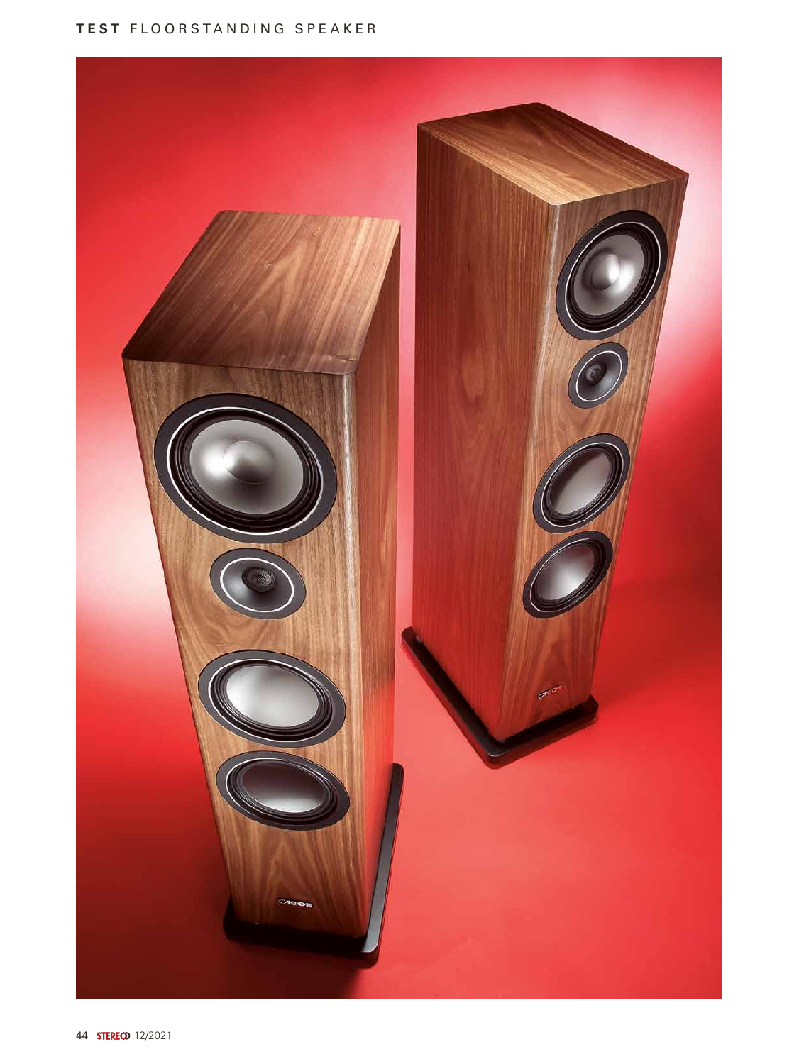# TEST FLOORSTANDING SPEAKER

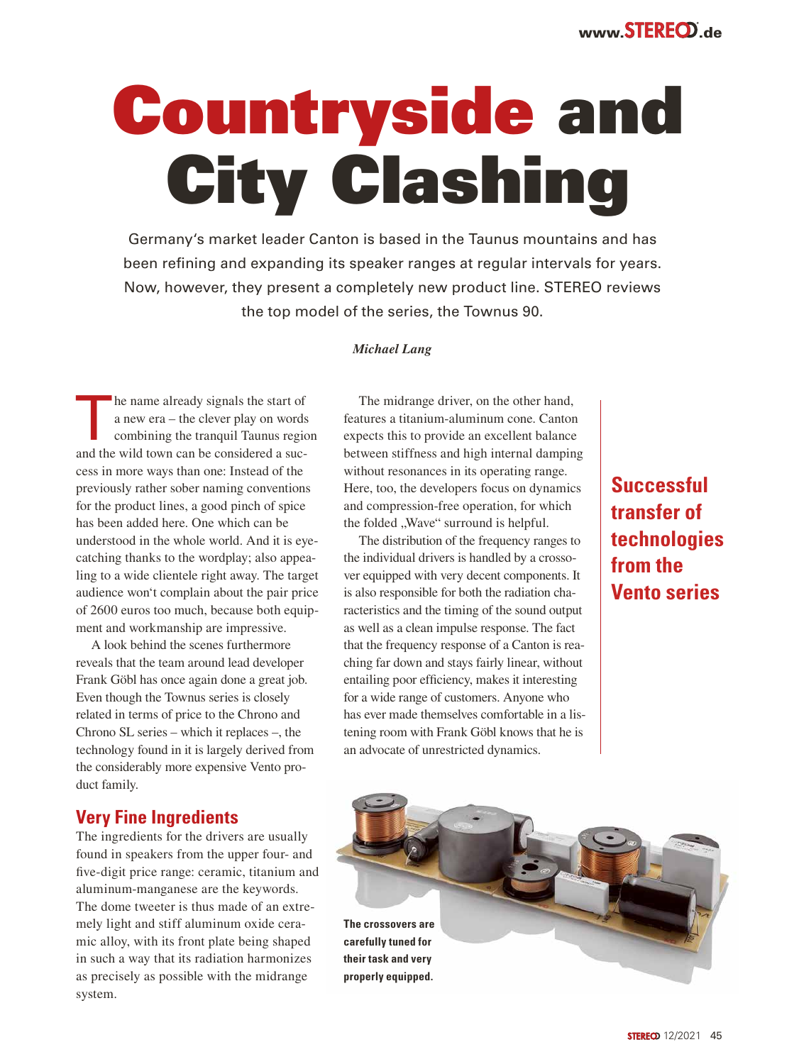# Countryside and City Clashing

Germany's market leader Canton is based in the Taunus mountains and has been refining and expanding its speaker ranges at regular intervals for years. Now, however, they present a completely new product line. STEREO reviews the top model of the series, the Townus 90.

#### *Michael Lang*

he name already signals the start of a new era – the clever play on words combining the tranquil Taunus region and the wild town can be considered a success in more ways than one: Instead of the previously rather sober naming conventions for the product lines, a good pinch of spice has been added here. One which can be understood in the whole world. And it is eyecatching thanks to the wordplay; also appealing to a wide clientele right away. The target audience won't complain about the pair price of 2600 euros too much, because both equipment and workmanship are impressive.

A look behind the scenes furthermore reveals that the team around lead developer Frank Göbl has once again done a great job. Even though the Townus series is closely related in terms of price to the Chrono and Chrono SL series – which it replaces –, the technology found in it is largely derived from the considerably more expensive Vento product family.

# **Very Fine Ingredients**

The ingredients for the drivers are usually found in speakers from the upper four- and five-digit price range: ceramic, titanium and aluminum-manganese are the keywords. The dome tweeter is thus made of an extremely light and stiff aluminum oxide ceramic alloy, with its front plate being shaped in such a way that its radiation harmonizes as precisely as possible with the midrange system.

The midrange driver, on the other hand, features a titanium-aluminum cone. Canton expects this to provide an excellent balance between stiffness and high internal damping without resonances in its operating range. Here, too, the developers focus on dynamics and compression-free operation, for which the folded "Wave" surround is helpful.

The distribution of the frequency ranges to the individual drivers is handled by a crossover equipped with very decent components. It is also responsible for both the radiation characteristics and the timing of the sound output as well as a clean impulse response. The fact that the frequency response of a Canton is reaching far down and stays fairly linear, without entailing poor efficiency, makes it interesting for a wide range of customers. Anyone who has ever made themselves comfortable in a listening room with Frank Göbl knows that he is an advocate of unrestricted dynamics.

**Successful transfer of technologies from the Vento series**

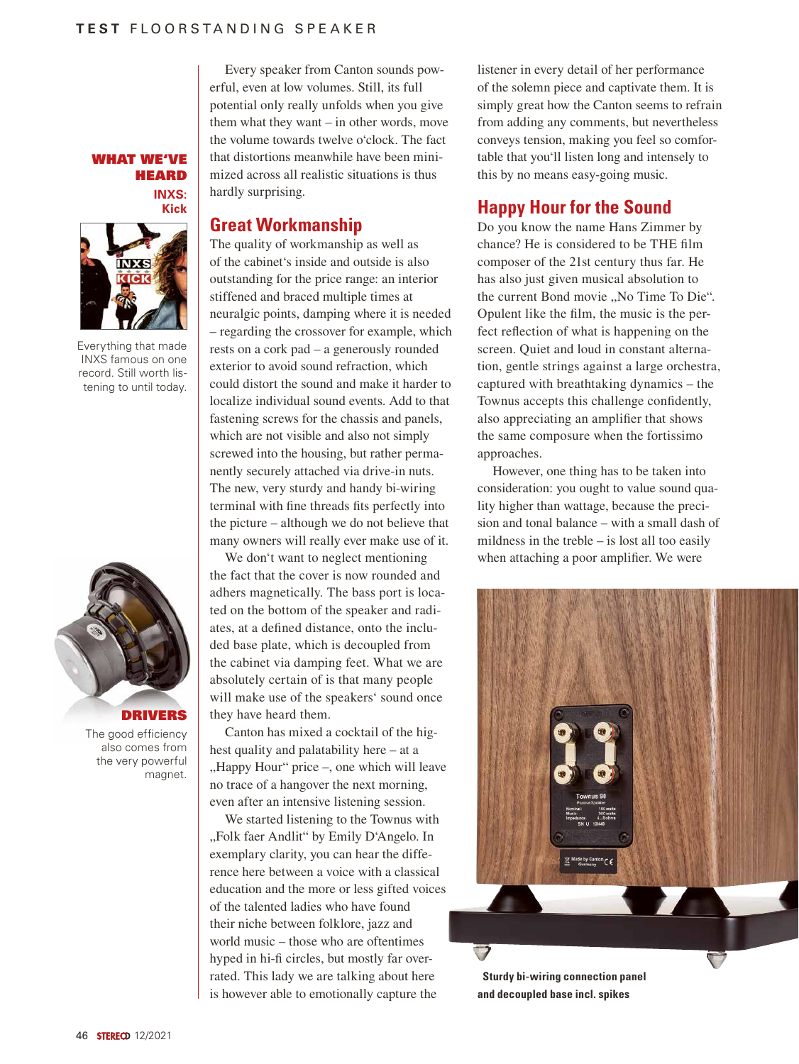WHAT WE'VE HEARD **INXS:** 



Everything that made INXS famous on one record. Still worth listening to until today.



The good efficiency also comes from the very powerful magnet.

Every speaker from Canton sounds powerful, even at low volumes. Still, its full potential only really unfolds when you give them what they want – in other words, move the volume towards twelve o'clock. The fact that distortions meanwhile have been minimized across all realistic situations is thus hardly surprising.

#### **Great Workmanship**

The quality of workmanship as well as of the cabinet's inside and outside is also outstanding for the price range: an interior stiffened and braced multiple times at neuralgic points, damping where it is needed – regarding the crossover for example, which rests on a cork pad – a generously rounded exterior to avoid sound refraction, which could distort the sound and make it harder to localize individual sound events. Add to that fastening screws for the chassis and panels, which are not visible and also not simply screwed into the housing, but rather permanently securely attached via drive-in nuts. The new, very sturdy and handy bi-wiring terminal with fine threads fits perfectly into the picture – although we do not believe that many owners will really ever make use of it.

We don't want to neglect mentioning the fact that the cover is now rounded and adhers magnetically. The bass port is located on the bottom of the speaker and radiates, at a defined distance, onto the included base plate, which is decoupled from the cabinet via damping feet. What we are absolutely certain of is that many people will make use of the speakers' sound once they have heard them.

Canton has mixed a cocktail of the highest quality and palatability here – at a "Happy Hour" price –, one which will leave no trace of a hangover the next morning, even after an intensive listening session.

We started listening to the Townus with "Folk faer Andlit" by Emily D'Angelo. In exemplary clarity, you can hear the difference here between a voice with a classical education and the more or less gifted voices of the talented ladies who have found their niche between folklore, jazz and world music – those who are oftentimes hyped in hi-fi circles, but mostly far overrated. This lady we are talking about here is however able to emotionally capture the

listener in every detail of her performance of the solemn piece and captivate them. It is simply great how the Canton seems to refrain from adding any comments, but nevertheless conveys tension, making you feel so comfortable that you'll listen long and intensely to this by no means easy-going music.

# **Happy Hour for the Sound**

Do you know the name Hans Zimmer by chance? He is considered to be THE film composer of the 21st century thus far. He has also just given musical absolution to the current Bond movie "No Time To Die". Opulent like the film, the music is the perfect reflection of what is happening on the screen. Quiet and loud in constant alternation, gentle strings against a large orchestra, captured with breathtaking dynamics – the Townus accepts this challenge confidently, also appreciating an amplifier that shows the same composure when the fortissimo approaches.

However, one thing has to be taken into consideration: you ought to value sound quality higher than wattage, because the precision and tonal balance – with a small dash of mildness in the treble – is lost all too easily when attaching a poor amplifier. We were



**Sturdy bi-wiring connection panel and decoupled base incl. spikes**